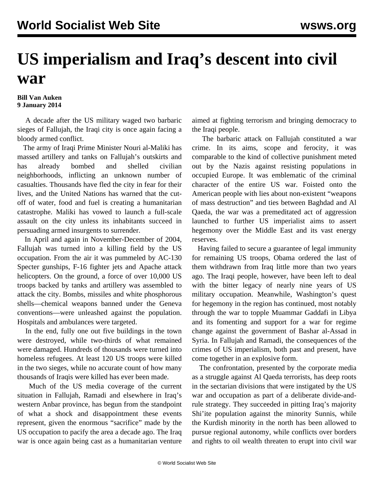## **US imperialism and Iraq's descent into civil war**

## **Bill Van Auken 9 January 2014**

 A decade after the US military waged two barbaric sieges of Fallujah, the Iraqi city is once again facing a bloody armed conflict.

 The army of Iraqi Prime Minister Nouri al-Maliki has massed artillery and tanks on Fallujah's outskirts and has already bombed and shelled civilian neighborhoods, inflicting an unknown number of casualties. Thousands have fled the city in fear for their lives, and the United Nations has warned that the cutoff of water, food and fuel is creating a humanitarian catastrophe. Maliki has vowed to launch a full-scale assault on the city unless its inhabitants succeed in persuading armed insurgents to surrender.

 In April and again in November-December of 2004, Fallujah was turned into a killing field by the US occupation. From the air it was pummeled by AC-130 Specter gunships, F-16 fighter jets and Apache attack helicopters. On the ground, a force of over 10,000 US troops backed by tanks and artillery was assembled to attack the city. Bombs, missiles and white phosphorous shells—chemical weapons banned under the Geneva conventions—were unleashed against the population. Hospitals and ambulances were targeted.

 In the end, fully one out five buildings in the town were destroyed, while two-thirds of what remained were damaged. Hundreds of thousands were turned into homeless refugees. At least 120 US troops were killed in the two sieges, while no accurate count of how many thousands of Iraqis were killed has ever been made.

 Much of the US media coverage of the current situation in Fallujah, Ramadi and elsewhere in Iraq's western Anbar province, has begun from the standpoint of what a shock and disappointment these events represent, given the enormous "sacrifice" made by the US occupation to pacify the area a decade ago. The Iraq war is once again being cast as a humanitarian venture aimed at fighting terrorism and bringing democracy to the Iraqi people.

 The barbaric attack on Fallujah constituted a war crime. In its aims, scope and ferocity, it was comparable to the kind of collective punishment meted out by the Nazis against resisting populations in occupied Europe. It was emblematic of the criminal character of the entire US war. Foisted onto the American people with lies about non-existent "weapons of mass destruction" and ties between Baghdad and Al Qaeda, the war was a premeditated act of aggression launched to further US imperialist aims to assert hegemony over the Middle East and its vast energy reserves.

 Having failed to secure a guarantee of legal immunity for remaining US troops, Obama ordered the last of them withdrawn from Iraq little more than two years ago. The Iraqi people, however, have been left to deal with the bitter legacy of nearly nine years of US military occupation. Meanwhile, Washington's quest for hegemony in the region has continued, most notably through the war to topple Muammar Gaddafi in Libya and its fomenting and support for a war for regime change against the government of Bashar al-Assad in Syria. In Fallujah and Ramadi, the consequences of the crimes of US imperialism, both past and present, have come together in an explosive form.

 The confrontation, presented by the corporate media as a struggle against Al Qaeda terrorists, has deep roots in the sectarian divisions that were instigated by the US war and occupation as part of a deliberate divide-andrule strategy. They succeeded in pitting Iraq's majority Shi'ite population against the minority Sunnis, while the Kurdish minority in the north has been allowed to pursue regional autonomy, while conflicts over borders and rights to oil wealth threaten to erupt into civil war